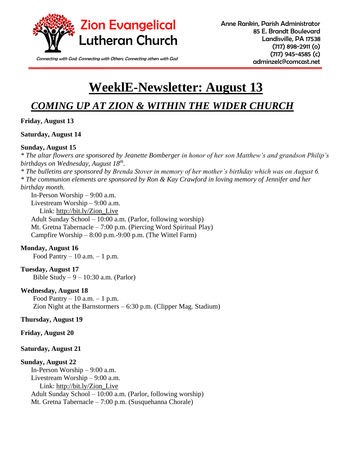

Anne Rankin, Parish Administrator 85 E. Brandt Boulevard Landisville, PA 17538 (717) 898-2911 (o) (717) 945-4585 (c)

Connecting with God; Connecting with Others; Connecting others with God **connecting of connecting of connecting** 

# **WeeklE-Newsletter: August 13**

# *COMING UP AT ZION & WITHIN THE WIDER CHURCH*

#### **Friday, August 13**

#### **Saturday, August 14**

#### **Sunday, August 15**

*\* The altar flowers are sponsored by Jeanette Bomberger in honor of her son Matthew's and grandson Philip's birthdays on Wednesday, August 18th . \* The bulletins are sponsored by Brenda Stover in memory of her mother's birthday which was on August 6. \* The communion elements are sponsored by Ron & Kay Crawford in loving memory of Jennifer and her birthday month.*  In-Person Worship – 9:00 a.m.

Livestream Worship – 9:00 a.m. Link: [http://bit.ly/Zion\\_Live](http://bit.ly/Zion_Live) Adult Sunday School – 10:00 a.m. (Parlor, following worship) Mt. Gretna Tabernacle – 7:00 p.m. (Piercing Word Spiritual Play) Campfire Worship  $-8:00$  p.m.-9:00 p.m. (The Wittel Farm)

## **Monday, August 16**

Food Pantry  $-10$  a.m.  $-1$  p.m.

**Tuesday, August 17** Bible Study  $-9 - 10:30$  a.m. (Parlor)

## **Wednesday, August 18**

Food Pantry  $-10$  a.m.  $-1$  p.m. Zion Night at the Barnstormers – 6:30 p.m. (Clipper Mag. Stadium)

## **Thursday, August 19**

#### **Friday, August 20**

#### **Saturday, August 21**

## **Sunday, August 22**

In-Person Worship – 9:00 a.m. Livestream Worship – 9:00 a.m. Link: [http://bit.ly/Zion\\_Live](http://bit.ly/Zion_Live) Adult Sunday School – 10:00 a.m. (Parlor, following worship) Mt. Gretna Tabernacle – 7:00 p.m. (Susquehanna Chorale)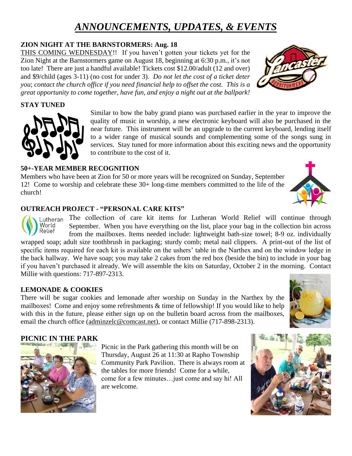# *ANNOUNCEMENTS, UPDATES, & EVENTS*

## **ZION NIGHT AT THE BARNSTORMERS: Aug. 18**

THIS COMING WEDNESDAY!! If you haven't gotten your tickets yet for the Zion Night at the Barnstormers game on August 18, beginning at 6:30 p.m., it's not too late! There are just a handful available! Tickets cost \$12.00/adult (12 and over) and \$9/child (ages 3-11) (no cost for under 3). *Do not let the cost of a ticket deter you*; *contact the church office if you need financial help to offset the cost. This is a great opportunity to come together, have fun, and enjoy a night out at the ballpark!*

**STAY TUNED**

Similar to how the baby grand piano was purchased earlier in the year to improve the quality of music in worship, a new electronic keyboard will also be purchased in the near future. This instrument will be an upgrade to the current keyboard, lending itself to a wider range of musical sounds and complementing some of the songs sung in services. Stay tuned for more information about this exciting news and the opportunity to contribute to the cost of it.

## **50+-YEAR MEMBER RECOGNITION**

Members who have been at Zion for 50 or more years will be recognized on Sunday, September 12! Come to worship and celebrate these 30+ long-time members committed to the life of the church!

## **OUTREACH PROJECT - "PERSONAL CARE KITS"**

The collection of care kit items for Lutheran World Relief will continue through September. When you have everything on the list, place your bag in the collection bin across from the mailboxes. Items needed include: lightweight bath-size towel; 8-9 oz. individually

wrapped soap; adult size toothbrush in packaging; sturdy comb; metal nail clippers. A print-out of the list of specific items required for each kit is available on the ushers' table in the Narthex and on the window ledge in the back hallway. We have soap; you may take 2 cakes from the red box (beside the bin) to include in your bag if you haven't purchased it already. We will assemble the kits on Saturday, October 2 in the morning. Contact Millie with questions: 717-897-2313.

## **LEMONADE & COOKIES**

There will be sugar cookies and lemonade after worship on Sunday in the Narthex by the mailboxes! Come and enjoy some refreshments & time of fellowship! If you would like to help with this in the future, please either sign up on the bulletin board across from the mailboxes, email the church office [\(adminzelc@comcast.net\)](mailto:adminzelc@comcast.net), or contact Millie (717-898-2313).

## **PICNIC IN THE PARK**

Picnic in the Park gathering this month will be on Thursday, August 26 at 11:30 at Rapho Township Community Park Pavilion. There is always room at the tables for more friends! Come for a while, come for a few minutes…just come and say hi! All are welcome.









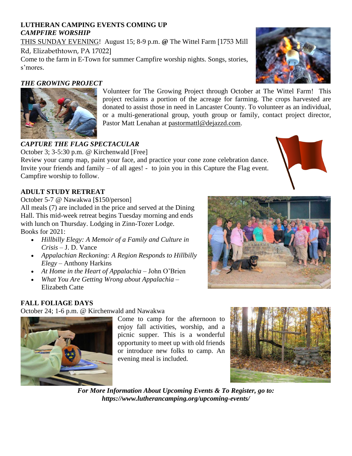## **LUTHERAN CAMPING EVENTS COMING UP** *CAMPFIRE WORSHIP*

THIS SUNDAY EVENING! August 15; 8-9 p.m. **@** The Wittel Farm [1753 Mill Rd, Elizabethtown, PA 17022]

Come to the farm in E-Town for summer Campfire worship nights. Songs, stories, s'mores.

## *THE GROWING PROJECT*

Volunteer for The Growing Project through October at The Wittel Farm! This project reclaims a portion of the acreage for farming. The crops harvested are donated to assist those in need in Lancaster County. To volunteer as an individual, or a multi-generational group, youth group or family, contact project director, Pastor Matt Lenahan at [pastormattl@dejazzd.com.](mailto:pastormattl@dejazzd.com)

## *CAPTURE THE FLAG SPECTACULAR*

October 3; 3-5:30 p.m. @ Kirchenwald [Free]

Review your camp map, paint your face, and practice your cone zone celebration dance. Invite your friends and family – of all ages! - to join you in this Capture the Flag event. Campfire worship to follow.

## **ADULT STUDY RETREAT**

October 5-7 @ Nawakwa [\$150/person] All meals (7) are included in the price and served at the Dining Hall. This mid-week retreat begins Tuesday morning and ends with lunch on Thursday. Lodging in Zinn-Tozer Lodge. Books for 2021:

- *Hillbilly Elegy: A Memoir of a Family and Culture in Crisis* – J. D. Vance
- *Appalachian Reckoning: A Region Responds to Hillbilly Elegy* – Anthony Harkins
- *At Home in the Heart of Appalachia* John O'Brien
- *What You Are Getting Wrong about Appalachia* Elizabeth Catte

## **FALL FOLIAGE DAYS**

October 24; 1-6 p.m. @ Kirchenwald and Nawakwa



Come to camp for the afternoon to enjoy fall activities, worship, and a picnic supper. This is a wonderful opportunity to meet up with old friends or introduce new folks to camp. An evening meal is included.



*For More Information About Upcoming Events & To Register, go to: https://www.lutherancamping.org/upcoming-events/*





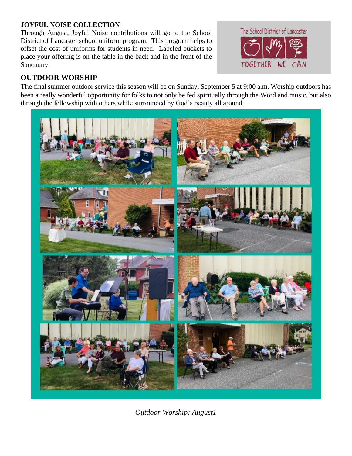## **JOYFUL NOISE COLLECTION**

Through August, Joyful Noise contributions will go to the School District of Lancaster school uniform program. This program helps to offset the cost of uniforms for students in need. Labeled buckets to place your offering is on the table in the back and in the front of the Sanctuary.



## **OUTDOOR WORSHIP**

The final summer outdoor service this season will be on Sunday, September 5 at 9:00 a.m. Worship outdoors has been a really wonderful opportunity for folks to not only be fed spiritually through the Word and music, but also through the fellowship with others while surrounded by God's beauty all around.



*Outdoor Worship: August1*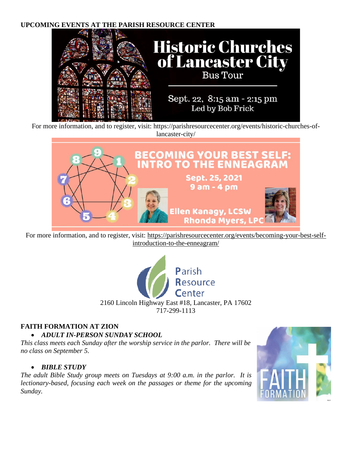## **UPCOMING EVENTS AT THE PARISH RESOURCE CENTER**



For more information, and to register, visit: https://parishresourcecenter.org/events/historic-churches-oflancaster-city/



For more information, and to register, visit: [https://parishresourcecenter.org/events/becoming-your-best-self](https://parishresourcecenter.org/events/becoming-your-best-self-introduction-to-the-enneagram/)[introduction-to-the-enneagram/](https://parishresourcecenter.org/events/becoming-your-best-self-introduction-to-the-enneagram/)



## **FAITH FORMATION AT ZION**

## • *ADULT IN-PERSON SUNDAY SCHOOL*

*This class meets each Sunday after the worship service in the parlor. There will be no class on September 5.*

## • *BIBLE STUDY*

*The adult Bible Study group meets on Tuesdays at 9:00 a.m. in the parlor. It is lectionary-based, focusing each week on the passages or theme for the upcoming Sunday.* 

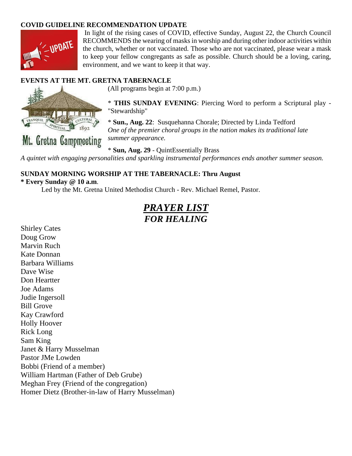## **COVID GUIDELINE RECOMMENDATION UPDATE**



In light of the rising cases of COVID, effective Sunday, August 22, the Church Council RECOMMENDS the wearing of masks in worship and during other indoor activities within the church, whether or not vaccinated. Those who are not vaccinated, please wear a mask to keep your fellow congregants as safe as possible. Church should be a loving, caring, environment, and we want to keep it that way.

## **EVENTS AT THE MT. GRETNA TABERNACLE**



(All programs begin at 7:00 p.m.)

\* **THIS SUNDAY EVENING**: Piercing Word to perform a Scriptural play - "Stewardship"

\* **Sun., Aug. 22**: Susquehanna Chorale; Directed by Linda Tedford *One of the premier choral groups in the nation makes its traditional late summer appearance.*

\* **Sun, Aug. 29** - QuintEssentially Brass *A quintet with engaging personalities and sparkling instrumental performances ends another summer season.*

**SUNDAY MORNING WORSHIP AT THE TABERNACLE: Thru August \* Every Sunday @ 10 a.m***.* 

Led by the Mt. Gretna United Methodist Church - Rev. Michael Remel, Pastor.

# *PRAYER LIST FOR HEALING*

Shirley Cates Doug Grow Marvin Ruch Kate Donnan Barbara Williams Dave Wise Don Heartter Joe Adams Judie Ingersoll Bill Grove Kay Crawford Holly Hoover Rick Long Sam King Janet & Harry Musselman Pastor JMe Lowden Bobbi (Friend of a member) William Hartman (Father of Deb Grube) Meghan Frey (Friend of the congregation) Homer Dietz (Brother-in-law of Harry Musselman)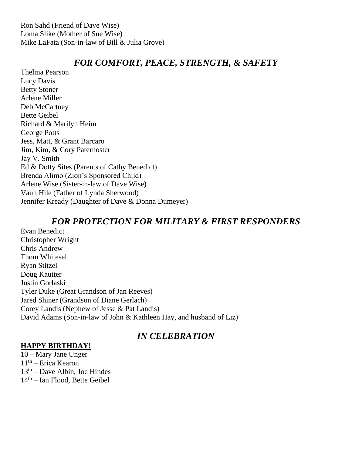Ron Sahd (Friend of Dave Wise) Loma Slike (Mother of Sue Wise) Mike LaFata (Son-in-law of Bill & Julia Grove)

## *FOR COMFORT, PEACE, STRENGTH, & SAFETY*

Thelma Pearson Lucy Davis Betty Stoner Arlene Miller Deb McCartney Bette Geibel Richard & Marilyn Heim George Potts Jess, Matt, & Grant Barcaro Jim, Kim, & Cory Paternoster Jay V. Smith Ed & Dotty Sites (Parents of Cathy Benedict) Brenda Alimo (Zion's Sponsored Child) Arlene Wise (Sister-in-law of Dave Wise) Vaun Hile (Father of Lynda Sherwood) Jennifer Kready (Daughter of Dave & Donna Dumeyer)

## *FOR PROTECTION FOR MILITARY & FIRST RESPONDERS*

Evan Benedict Christopher Wright Chris Andrew Thom Whitesel Ryan Stitzel Doug Kautter Justin Gorlaski Tyler Duke (Great Grandson of Jan Reeves) Jared Shiner (Grandson of Diane Gerlach) Corey Landis (Nephew of Jesse & Pat Landis) David Adams (Son-in-law of John & Kathleen Hay, and husband of Liz)

# *IN CELEBRATION*

## **HAPPY BIRTHDAY!**

10 – Mary Jane Unger  $11<sup>th</sup>$  – Erica Kearon  $13<sup>th</sup>$  – Dave Albin, Joe Hindes  $14<sup>th</sup>$  – Ian Flood, Bette Geibel